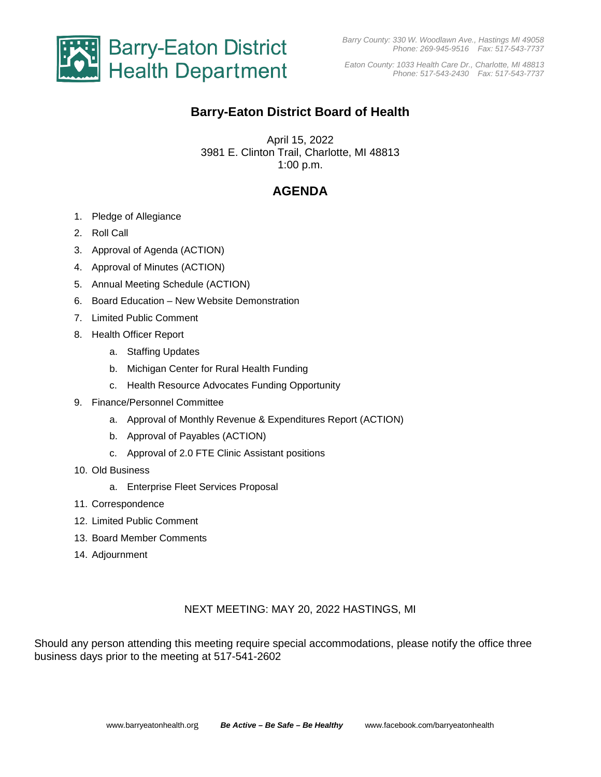

*Eaton County: 1033 Health Care Dr., Charlotte, MI 48813 Phone: 517-543-2430 Fax: 517-543-7737*

# **Barry-Eaton District Board of Health**

April 15, 2022 3981 E. Clinton Trail, Charlotte, MI 48813 1:00 p.m.

## **AGENDA**

- 1. Pledge of Allegiance
- 2. Roll Call
- 3. Approval of Agenda (ACTION)
- 4. Approval of Minutes (ACTION)
- 5. Annual Meeting Schedule (ACTION)
- 6. Board Education New Website Demonstration
- 7. Limited Public Comment
- 8. Health Officer Report
	- a. Staffing Updates
	- b. Michigan Center for Rural Health Funding
	- c. Health Resource Advocates Funding Opportunity
- 9. Finance/Personnel Committee
	- a. Approval of Monthly Revenue & Expenditures Report (ACTION)
	- b. Approval of Payables (ACTION)
	- c. Approval of 2.0 FTE Clinic Assistant positions
- 10. Old Business
	- a. Enterprise Fleet Services Proposal
- 11. Correspondence
- 12. Limited Public Comment
- 13. Board Member Comments
- 14. Adjournment

#### NEXT MEETING: MAY 20, 2022 HASTINGS, MI

Should any person attending this meeting require special accommodations, please notify the office three business days prior to the meeting at 517-541-2602